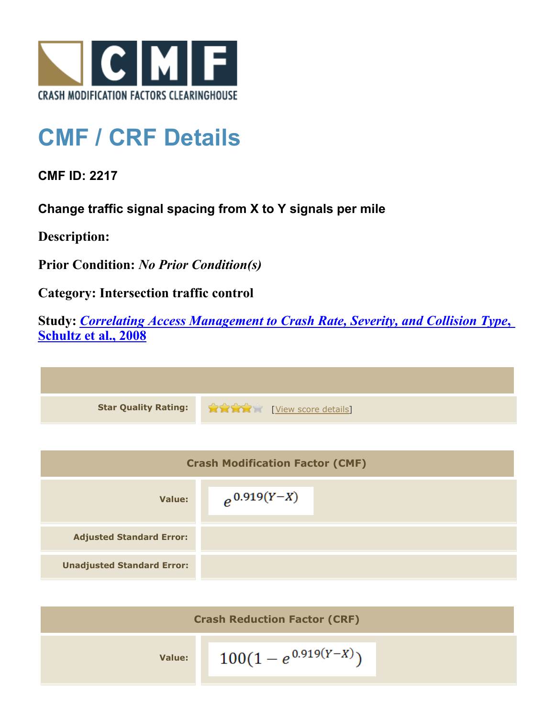

## **CMF / CRF Details**

**CMF ID: 2217**

**Change traffic signal spacing from X to Y signals per mile**

**Description:** 

**Prior Condition:** *No Prior Condition(s)*

**Category: Intersection traffic control**

**Study:** *[Correlating Access Management to Crash Rate, Severity, and Collision Type](http://www.cmfclearinghouse.org/study_detail.cfm?stid=133)***[,](http://www.cmfclearinghouse.org/study_detail.cfm?stid=133) [Schultz et al., 2008](http://www.cmfclearinghouse.org/study_detail.cfm?stid=133)**

**Star Quality Rating:**  $\frac{1}{2}$  **Compared Principles** [[View score details](http://www.cmfclearinghouse.org/score_details.cfm?facid=2217)]

| <b>Crash Modification Factor (CMF)</b> |                  |  |
|----------------------------------------|------------------|--|
| Value:                                 | $e^{0.919(Y-X)}$ |  |
| <b>Adjusted Standard Error:</b>        |                  |  |
| <b>Unadjusted Standard Error:</b>      |                  |  |

| <b>Crash Reduction Factor (CRF)</b> |                         |  |
|-------------------------------------|-------------------------|--|
| <b>Value:</b>                       | $100(1-e^{0.919(Y-X)})$ |  |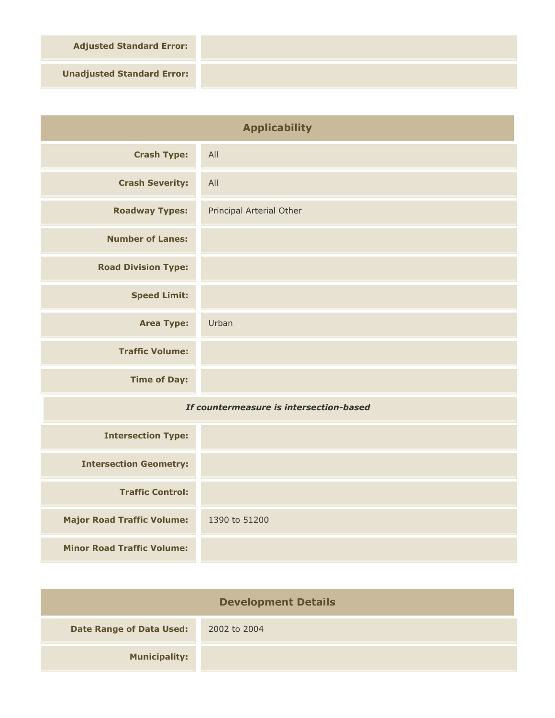**Adjusted Standard Error:**

**Unadjusted Standard Error:**

**Intersection Geometry:**

**Minor Road Traffic Volume:**

**Traffic Control:**

**Major Road Traffic Volume:** 1390 to 51200

| <b>Applicability</b>                    |                          |
|-----------------------------------------|--------------------------|
| <b>Crash Type:</b>                      | All                      |
| <b>Crash Severity:</b>                  | All                      |
| <b>Roadway Types:</b>                   | Principal Arterial Other |
| <b>Number of Lanes:</b>                 |                          |
| <b>Road Division Type:</b>              |                          |
| <b>Speed Limit:</b>                     |                          |
| <b>Area Type:</b>                       | Urban                    |
| <b>Traffic Volume:</b>                  |                          |
| <b>Time of Day:</b>                     |                          |
| If countermeasure is intersection-based |                          |
| <b>Intersection Type:</b>               |                          |

| <b>Development Details</b>      |              |
|---------------------------------|--------------|
| <b>Date Range of Data Used:</b> | 2002 to 2004 |
| <b>Municipality:</b>            |              |